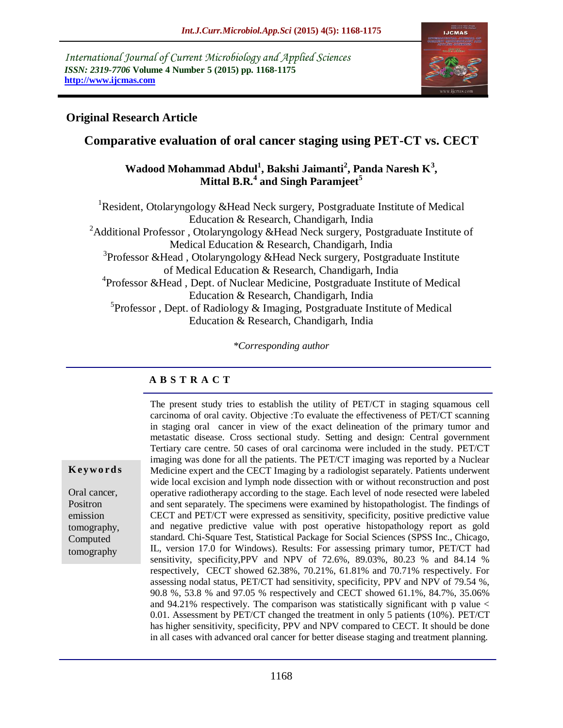*International Journal of Current Microbiology and Applied Sciences ISSN: 2319-7706* **Volume 4 Number 5 (2015) pp. 1168-1175 http://www.ijcmas.com** 



## **Original Research Article**

# **Comparative evaluation of oral cancer staging using PET-CT vs. CECT**

### **Wadood Mohammad Abdul<sup>1</sup> , Bakshi Jaimanti<sup>2</sup> , Panda Naresh K<sup>3</sup> , Mittal B.R.<sup>4</sup> and Singh Paramjeet<sup>5</sup>**

<sup>1</sup>Resident, Otolaryngology &Head Neck surgery, Postgraduate Institute of Medical Education & Research, Chandigarh, India <sup>2</sup>Additional Professor, Otolaryngology &Head Neck surgery, Postgraduate Institute of Medical Education & Research, Chandigarh, India <sup>3</sup>Professor &Head, Otolaryngology &Head Neck surgery, Postgraduate Institute of Medical Education & Research, Chandigarh, India <sup>4</sup>Professor &Head, Dept. of Nuclear Medicine, Postgraduate Institute of Medical Education & Research, Chandigarh, India 5 Professor , Dept. of Radiology & Imaging, Postgraduate Institute of Medical Education & Research, Chandigarh, India

*\*Corresponding author*

#### **A B S T R A C T**

**K ey w o rd s**

Oral cancer, Positron emission tomography, Computed tomography

The present study tries to establish the utility of PET/CT in staging squamous cell carcinoma of oral cavity. Objective :To evaluate the effectiveness of PET/CT scanning in staging oral cancer in view of the exact delineation of the primary tumor and metastatic disease. Cross sectional study. Setting and design: Central government Tertiary care centre. 50 cases of oral carcinoma were included in the study. PET/CT imaging was done for all the patients. The PET/CT imaging was reported by a Nuclear Medicine expert and the CECT Imaging by a radiologist separately. Patients underwent wide local excision and lymph node dissection with or without reconstruction and post operative radiotherapy according to the stage. Each level of node resected were labeled and sent separately. The specimens were examined by histopathologist. The findings of CECT and PET/CT were expressed as sensitivity, specificity, positive predictive value and negative predictive value with post operative histopathology report as gold standard. Chi-Square Test, Statistical Package for Social Sciences (SPSS Inc., Chicago, IL, version 17.0 for Windows). Results: For assessing primary tumor, PET/CT had sensitivity, specificity,PPV and NPV of 72.6%, 89.03%, 80.23 % and 84.14 % respectively, CECT showed 62.38%, 70.21%, 61.81% and 70.71% respectively. For assessing nodal status, PET/CT had sensitivity, specificity, PPV and NPV of 79.54 %, 90.8 %, 53.8 % and 97.05 % respectively and CECT showed 61.1%, 84.7%, 35.06% and 94.21% respectively. The comparison was statistically significant with p value < 0.01. Assessment by PET/CT changed the treatment in only 5 patients (10%). PET/CT has higher sensitivity, specificity, PPV and NPV compared to CECT. It should be done in all cases with advanced oral cancer for better disease staging and treatment planning.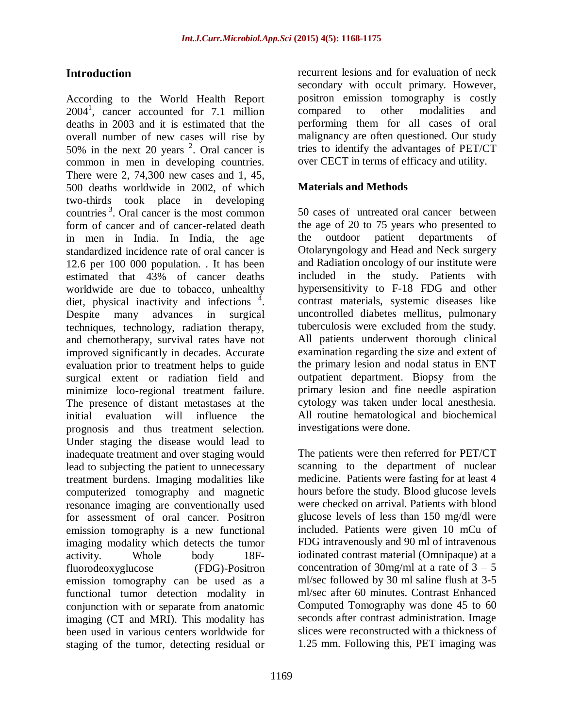## **Introduction**

According to the World Health Report 2004<sup>1</sup> , cancer accounted for 7.1 million deaths in 2003 and it is estimated that the overall number of new cases will rise by 50% in the next 20 years  $2$ . Oral cancer is common in men in developing countries. There were 2, 74,300 new cases and 1, 45, 500 deaths worldwide in 2002, of which two-thirds took place in developing countries <sup>3</sup> . Oral cancer is the most common form of cancer and of cancer-related death in men in India. In India, the age standardized incidence rate of oral cancer is 12.6 per 100 000 population. . It has been estimated that 43% of cancer deaths worldwide are due to tobacco, unhealthy diet, physical inactivity and infections  $\frac{4}{1}$ . Despite many advances in surgical techniques, technology, radiation therapy, and chemotherapy, survival rates have not improved significantly in decades. Accurate evaluation prior to treatment helps to guide surgical extent or radiation field and minimize loco-regional treatment failure. The presence of distant metastases at the initial evaluation will influence the prognosis and thus treatment selection. Under staging the disease would lead to inadequate treatment and over staging would lead to subjecting the patient to unnecessary treatment burdens. Imaging modalities like computerized tomography and magnetic resonance imaging are conventionally used for assessment of oral cancer. Positron emission tomography is a new functional imaging modality which detects the tumor activity. Whole body 18Ffluorodeoxyglucose (FDG)-Positron emission tomography can be used as a functional tumor detection modality in conjunction with or separate from anatomic imaging (CT and MRI). This modality has been used in various centers worldwide for staging of the tumor, detecting residual or

outpatient department. Biopsy from the primary lesion and fine needle aspiration cytology was taken under local anesthesia. All routine hematological and biochemical investigations were done.

recurrent lesions and for evaluation of neck secondary with occult primary. However, positron emission tomography is costly compared to other modalities and performing them for all cases of oral malignancy are often questioned. Our study tries to identify the advantages of PET/CT over CECT in terms of efficacy and utility.

50 cases of untreated oral cancer between the age of 20 to 75 years who presented to the outdoor patient departments of Otolaryngology and Head and Neck surgery and Radiation oncology of our institute were included in the study. Patients with hypersensitivity to F-18 FDG and other contrast materials, systemic diseases like uncontrolled diabetes mellitus, pulmonary tuberculosis were excluded from the study. All patients underwent thorough clinical examination regarding the size and extent of the primary lesion and nodal status in ENT

**Materials and Methods**

The patients were then referred for PET/CT scanning to the department of nuclear medicine. Patients were fasting for at least 4 hours before the study. Blood glucose levels were checked on arrival. Patients with blood glucose levels of less than 150 mg/dl were included. Patients were given 10 mCu of FDG intravenously and 90 ml of intravenous iodinated contrast material (Omnipaque) at a concentration of 30mg/ml at a rate of  $3 - 5$ ml/sec followed by 30 ml saline flush at 3-5 ml/sec after 60 minutes. Contrast Enhanced Computed Tomography was done 45 to 60 seconds after contrast administration. Image slices were reconstructed with a thickness of 1.25 mm. Following this, PET imaging was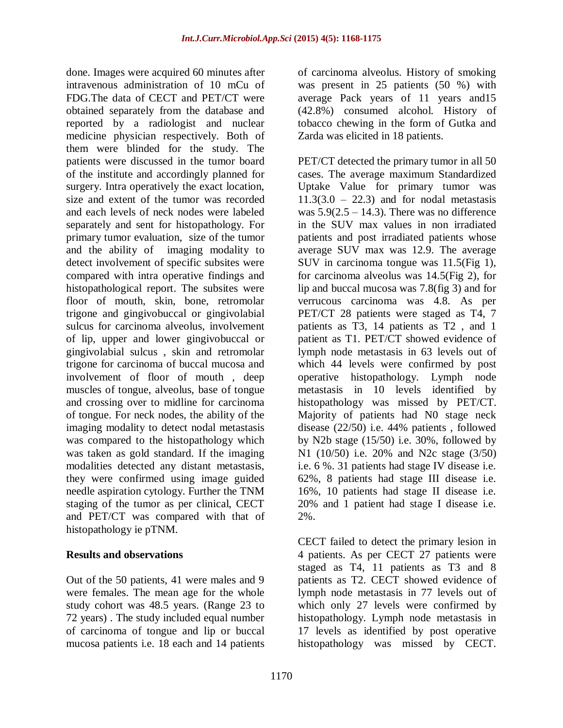done. Images were acquired 60 minutes after intravenous administration of 10 mCu of FDG.The data of CECT and PET/CT were obtained separately from the database and reported by a radiologist and nuclear medicine physician respectively. Both of them were blinded for the study. The patients were discussed in the tumor board of the institute and accordingly planned for surgery. Intra operatively the exact location, size and extent of the tumor was recorded and each levels of neck nodes were labeled separately and sent for histopathology. For primary tumor evaluation, size of the tumor and the ability of imaging modality to detect involvement of specific subsites were compared with intra operative findings and histopathological report. The subsites were floor of mouth, skin, bone, retromolar trigone and gingivobuccal or gingivolabial sulcus for carcinoma alveolus, involvement of lip, upper and lower gingivobuccal or gingivolabial sulcus , skin and retromolar trigone for carcinoma of buccal mucosa and involvement of floor of mouth , deep muscles of tongue, alveolus, base of tongue and crossing over to midline for carcinoma of tongue. For neck nodes, the ability of the imaging modality to detect nodal metastasis was compared to the histopathology which was taken as gold standard. If the imaging modalities detected any distant metastasis, they were confirmed using image guided needle aspiration cytology. Further the TNM staging of the tumor as per clinical, CECT and PET/CT was compared with that of histopathology ie pTNM.

#### **Results and observations**

Out of the 50 patients, 41 were males and 9 were females. The mean age for the whole study cohort was 48.5 years. (Range 23 to 72 years) . The study included equal number of carcinoma of tongue and lip or buccal mucosa patients i.e. 18 each and 14 patients of carcinoma alveolus. History of smoking was present in 25 patients (50 %) with average Pack years of 11 years and15 (42.8%) consumed alcohol. History of tobacco chewing in the form of Gutka and Zarda was elicited in 18 patients.

PET/CT detected the primary tumor in all 50 cases. The average maximum Standardized Uptake Value for primary tumor was  $11.3(3.0 - 22.3)$  and for nodal metastasis was  $5.9(2.5 - 14.3)$ . There was no difference in the SUV max values in non irradiated patients and post irradiated patients whose average SUV max was 12.9. The average SUV in carcinoma tongue was 11.5(Fig 1), for carcinoma alveolus was 14.5(Fig 2), for lip and buccal mucosa was 7.8(fig 3) and for verrucous carcinoma was 4.8. As per PET/CT 28 patients were staged as T4, 7 patients as T3, 14 patients as T2 , and 1 patient as T1. PET/CT showed evidence of lymph node metastasis in 63 levels out of which 44 levels were confirmed by post operative histopathology. Lymph node metastasis in 10 levels identified by histopathology was missed by PET/CT. Majority of patients had N0 stage neck disease (22/50) i.e. 44% patients , followed by N2b stage (15/50) i.e. 30%, followed by N1 (10/50) i.e. 20% and N2c stage (3/50) i.e. 6 %. 31 patients had stage IV disease i.e. 62%, 8 patients had stage III disease i.e. 16%, 10 patients had stage II disease i.e. 20% and 1 patient had stage I disease i.e. 2%.

CECT failed to detect the primary lesion in 4 patients. As per CECT 27 patients were staged as T4, 11 patients as T3 and 8 patients as T2. CECT showed evidence of lymph node metastasis in 77 levels out of which only 27 levels were confirmed by histopathology. Lymph node metastasis in 17 levels as identified by post operative histopathology was missed by CECT.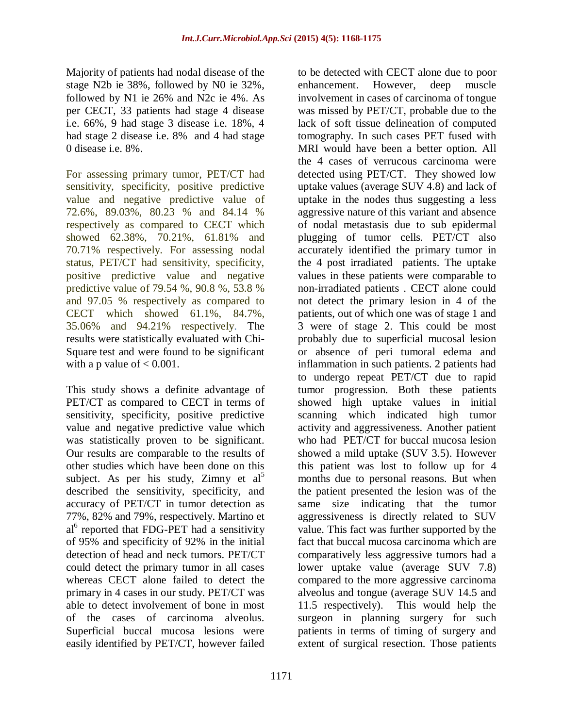Majority of patients had nodal disease of the stage N2b ie 38%, followed by N0 ie 32%, followed by N1 ie 26% and N2c ie 4%. As per CECT, 33 patients had stage 4 disease i.e. 66%, 9 had stage 3 disease i.e. 18%, 4 had stage 2 disease i.e. 8% and 4 had stage 0 disease i.e. 8%.

For assessing primary tumor, PET/CT had sensitivity, specificity, positive predictive value and negative predictive value of 72.6%, 89.03%, 80.23 % and 84.14 % respectively as compared to CECT which showed 62.38%, 70.21%, 61.81% and 70.71% respectively. For assessing nodal status, PET/CT had sensitivity, specificity, positive predictive value and negative predictive value of 79.54 %, 90.8 %, 53.8 % and 97.05 % respectively as compared to CECT which showed 61.1%, 84.7%, 35.06% and 94.21% respectively. The results were statistically evaluated with Chi-Square test and were found to be significant with a p value of  $< 0.001$ .

This study shows a definite advantage of PET/CT as compared to CECT in terms of sensitivity, specificity, positive predictive value and negative predictive value which was statistically proven to be significant. Our results are comparable to the results of other studies which have been done on this subject. As per his study, Zimny et  $al^5$ described the sensitivity, specificity, and accuracy of PET/CT in tumor detection as 77%, 82% and 79%, respectively. Martino et al<sup>6</sup> reported that FDG-PET had a sensitivity of 95% and specificity of 92% in the initial detection of head and neck tumors. PET/CT could detect the primary tumor in all cases whereas CECT alone failed to detect the primary in 4 cases in our study. PET/CT was able to detect involvement of bone in most of the cases of carcinoma alveolus. Superficial buccal mucosa lesions were easily identified by PET/CT, however failed

to be detected with CECT alone due to poor enhancement. However, deep muscle involvement in cases of carcinoma of tongue was missed by PET/CT, probable due to the lack of soft tissue delineation of computed tomography. In such cases PET fused with MRI would have been a better option. All the 4 cases of verrucous carcinoma were detected using PET/CT. They showed low uptake values (average SUV 4.8) and lack of uptake in the nodes thus suggesting a less aggressive nature of this variant and absence of nodal metastasis due to sub epidermal plugging of tumor cells. PET/CT also accurately identified the primary tumor in the 4 post irradiated patients. The uptake values in these patients were comparable to non-irradiated patients . CECT alone could not detect the primary lesion in 4 of the patients, out of which one was of stage 1 and 3 were of stage 2. This could be most probably due to superficial mucosal lesion or absence of peri tumoral edema and inflammation in such patients. 2 patients had to undergo repeat PET/CT due to rapid tumor progression. Both these patients showed high uptake values in initial scanning which indicated high tumor activity and aggressiveness. Another patient who had PET/CT for buccal mucosa lesion showed a mild uptake (SUV 3.5). However this patient was lost to follow up for 4 months due to personal reasons. But when the patient presented the lesion was of the same size indicating that the tumor aggressiveness is directly related to SUV value. This fact was further supported by the fact that buccal mucosa carcinoma which are comparatively less aggressive tumors had a lower uptake value (average SUV 7.8) compared to the more aggressive carcinoma alveolus and tongue (average SUV 14.5 and 11.5 respectively). This would help the surgeon in planning surgery for such patients in terms of timing of surgery and extent of surgical resection. Those patients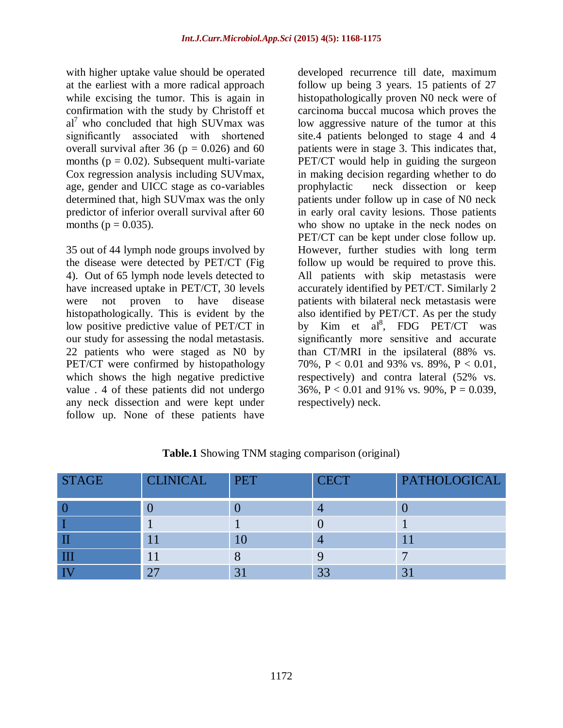with higher uptake value should be operated at the earliest with a more radical approach while excising the tumor. This is again in confirmation with the study by Christoff et  $al^7$  who concluded that high SUVmax was significantly associated with shortened overall survival after 36 ( $p = 0.026$ ) and 60 months ( $p = 0.02$ ). Subsequent multi-variate Cox regression analysis including SUVmax, age, gender and UICC stage as co-variables determined that, high SUVmax was the only predictor of inferior overall survival after 60 months ( $p = 0.035$ ).

35 out of 44 lymph node groups involved by the disease were detected by PET/CT (Fig 4). Out of 65 lymph node levels detected to have increased uptake in PET/CT, 30 levels were not proven to have disease histopathologically. This is evident by the low positive predictive value of PET/CT in our study for assessing the nodal metastasis. 22 patients who were staged as N0 by PET/CT were confirmed by histopathology which shows the high negative predictive value . 4 of these patients did not undergo any neck dissection and were kept under follow up. None of these patients have

developed recurrence till date, maximum follow up being 3 years. 15 patients of 27 histopathologically proven N0 neck were of carcinoma buccal mucosa which proves the low aggressive nature of the tumor at this site.4 patients belonged to stage 4 and 4 patients were in stage 3. This indicates that, PET/CT would help in guiding the surgeon in making decision regarding whether to do prophylactic neck dissection or keep patients under follow up in case of N0 neck in early oral cavity lesions. Those patients who show no uptake in the neck nodes on PET/CT can be kept under close follow up. However, further studies with long term follow up would be required to prove this. All patients with skip metastasis were accurately identified by PET/CT. Similarly 2 patients with bilateral neck metastasis were also identified by PET/CT. As per the study by Kim et al<sup>8</sup>, FDG PET/CT was significantly more sensitive and accurate than CT/MRI in the ipsilateral (88% vs. 70%, P < 0.01 and 93% vs. 89%, P < 0.01, respectively) and contra lateral (52% vs. 36%,  $P < 0.01$  and 91% vs. 90%,  $P = 0.039$ , respectively) neck.

| <b>STAGE</b> | <b>CLINICAL</b> | <b>PET</b> | <b>CECT</b> | <b>PATHOLOGICAL</b> |
|--------------|-----------------|------------|-------------|---------------------|
|              |                 |            |             |                     |
|              |                 |            |             |                     |
|              |                 |            |             |                     |
|              |                 |            |             |                     |
|              | つつ              | 3          | 33          | 3                   |

| Table.1 Showing TNM staging comparison (original) |  |  |  |
|---------------------------------------------------|--|--|--|
|---------------------------------------------------|--|--|--|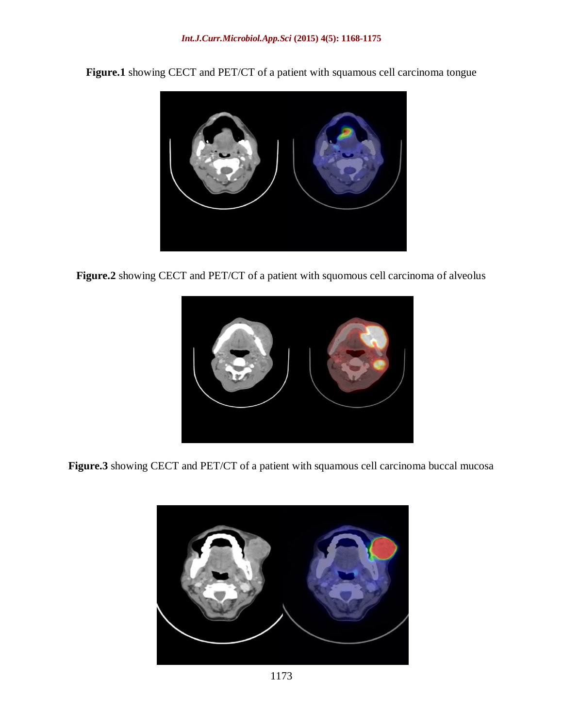**Figure.1** showing CECT and PET/CT of a patient with squamous cell carcinoma tongue



**Figure.2** showing CECT and PET/CT of a patient with squomous cell carcinoma of alveolus



**Figure.3** showing CECT and PET/CT of a patient with squamous cell carcinoma buccal mucosa

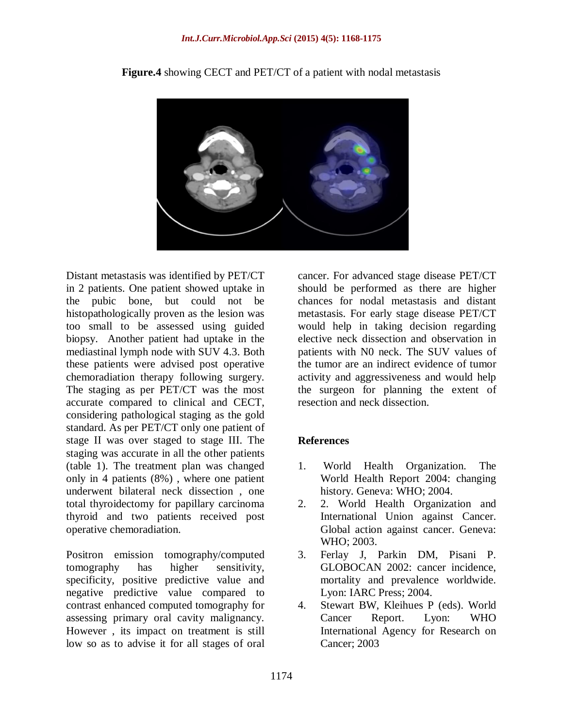

**Figure.4** showing CECT and PET/CT of a patient with nodal metastasis

Distant metastasis was identified by PET/CT in 2 patients. One patient showed uptake in the pubic bone, but could not be histopathologically proven as the lesion was too small to be assessed using guided biopsy. Another patient had uptake in the mediastinal lymph node with SUV 4.3. Both these patients were advised post operative chemoradiation therapy following surgery. The staging as per PET/CT was the most accurate compared to clinical and CECT, considering pathological staging as the gold standard. As per PET/CT only one patient of stage II was over staged to stage III. The staging was accurate in all the other patients (table 1). The treatment plan was changed only in 4 patients (8%) , where one patient underwent bilateral neck dissection , one total thyroidectomy for papillary carcinoma thyroid and two patients received post operative chemoradiation.

Positron emission tomography/computed tomography has higher sensitivity, specificity, positive predictive value and negative predictive value compared to contrast enhanced computed tomography for assessing primary oral cavity malignancy. However , its impact on treatment is still low so as to advise it for all stages of oral

cancer. For advanced stage disease PET/CT should be performed as there are higher chances for nodal metastasis and distant metastasis. For early stage disease PET/CT would help in taking decision regarding elective neck dissection and observation in patients with N0 neck. The SUV values of the tumor are an indirect evidence of tumor activity and aggressiveness and would help the surgeon for planning the extent of resection and neck dissection.

#### **References**

- 1. World Health Organization. The World Health Report 2004: changing history. Geneva: WHO; 2004.
- 2. 2. World Health Organization and International Union against Cancer. Global action against cancer. Geneva: WHO; 2003.
- 3. Ferlay J, Parkin DM, Pisani P. GLOBOCAN 2002: cancer incidence, mortality and prevalence worldwide. Lyon: IARC Press; 2004.
- 4. Stewart BW, Kleihues P (eds). World Cancer Report. Lyon: WHO International Agency for Research on Cancer; 2003